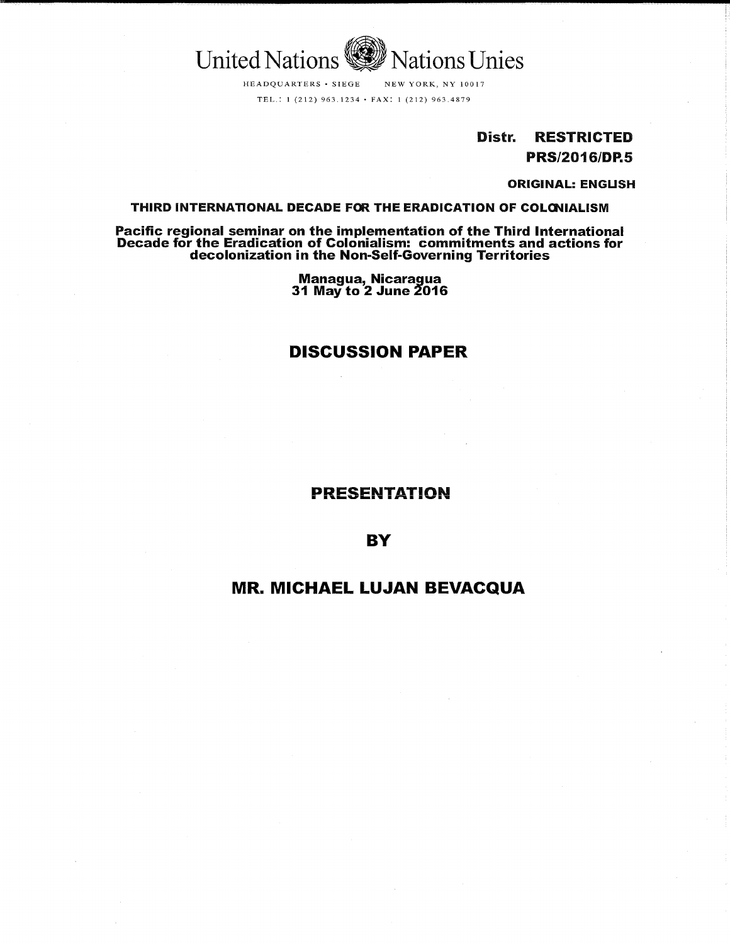

HEADQUARTERS • SIEGE NEW YORK, NY 10017 TEL.: l (212) 963.1234 • FAX: 1 (212) 963.4879

> Distr. RESTRICTED PRS/2016/DP,5

> > ORIGINAL: ENGUSH

## THIRD INTERNATIONAL DECADE FOR THE ERADICATION OF COLONIALISM

Pacific regional seminar on the implementation of the Third International Decade for the Eradication of Colonialism: commitments and actions for decolonization in the Non-Self-Governing Territories

> Managua, Nicaragua 31 May to 2 June 2016

## DISCUSSION PAPER

PRESENTATION

**BY** 

## MR. MICHAEL LUJAN BEVACQUA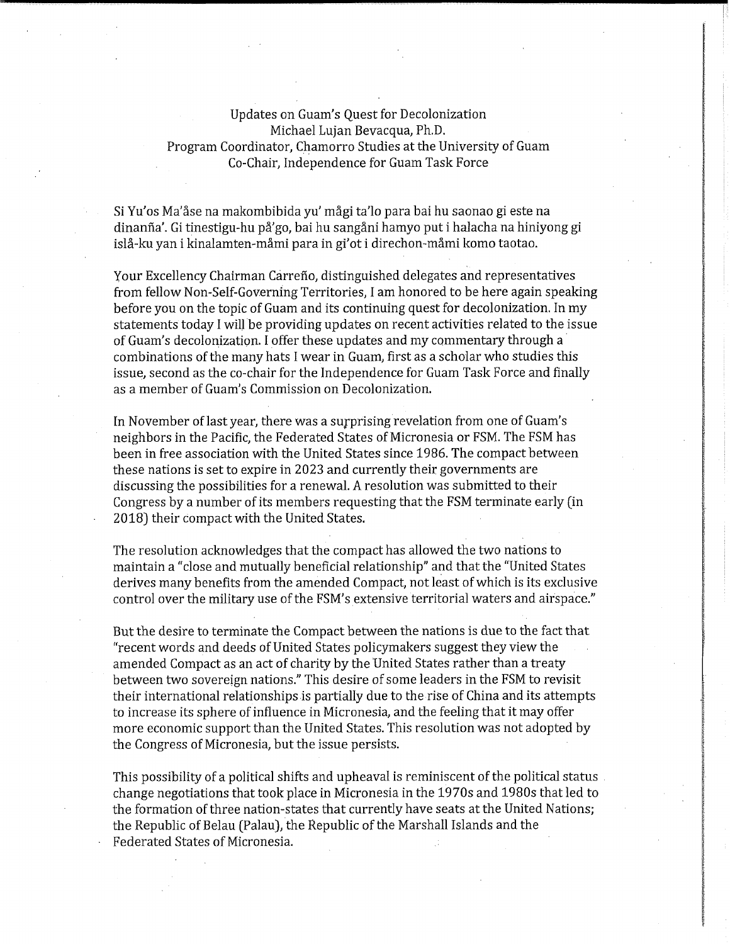Updates on Guam's Quest for Decolonization Michael Lujan Bevacqua, Ph.D. Program Coordinator, Chamorro Studies at the University of Guam Co-Chair, Independence for Guam Task Force

Si Yu'os Ma'åse na makombibida yu' mågi ta'lo para bai hu saonao gi este na dinanña'. Gi tinestigu-hu på'go, bai hu sangåni hamyo put i halacha na hiniyong gi islå-ku yan i kinalamten-måmi para in gi'ot i direchon-måmi komo taotao.

your Excellency Chairman Carrefio, distinguished delegates and representatives from fellow Non-Self-Governing Territories, I am honored to be here again speaking before you on the topic of Guam and its continuing quest for decolonization. In my statements today I wil! be providing updates on recent activities related to the issue of Guam's decolonization. I offer these updates and my commentary through a combinations of the many hats I wear in Guam, first as a scholar who studies this issue, second as the co-chair for the Independence for Guam Task Force and finally as a member of Guam's Commission on Decolonization.

In November of last year, there was a surprising revelation from one of Guam's neighbors in the Pacific, the Federated States of Micronesia or FSM. The FSM has been in free association with the United States since 1986. The compact between these nations is set to expire in 2023 and currently their governments are discussing the possibilities for a renewal. A resolution was submitted to their Congress by a number of its members requesting that the FSM terminate early (in 2018) their compact with the United States.

The resolution acknowledges that the compact has allowed the two nations to maintain a "close and mutually beneficial relationship" and that the "United States derives many benefits from the amended Compact, not least of which is its excIusive control over the military use of the FSM's extensive territorial waters and airspace."

But the desire to terminate the Compact between the nations is due to the fact that "recent words and deeds of United States policymakers suggest they view the amended Compact as an act of charity by the United States rather than a treaty between two sovereign nations." This desire of some leaders in the FSM to revisit their international relationships is partially due to the rise of China and its attempts to increase its sphere of influence in Micronesia, and the feeling that it may offer more economic support than the United States. This resolution was not adopted by the Congress of Micronesia, but the issue persists.

This possibility of a political shifts and upheaval is reminiscent of the political status. change negotiations that took place in Micronesia in the 1970s and 1980s that led to the formation of three nation-states that currently have seats at the United Nations; the Republic of Belau (Palau), the Republic of the Marshall Islands and the Federated States of Micronesia. .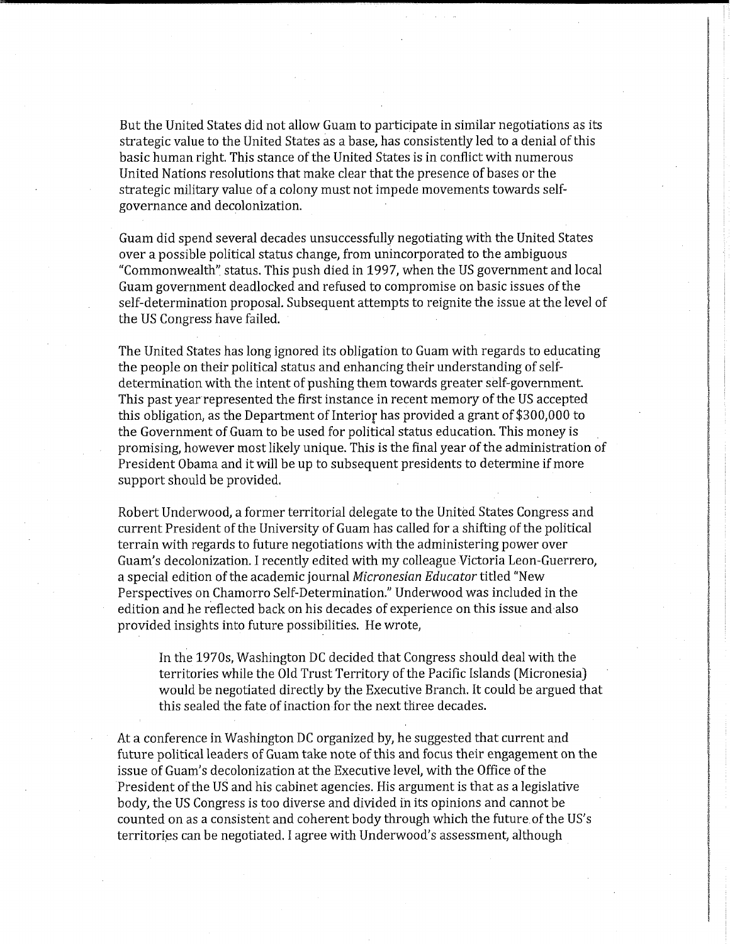But the United States did not allow Guam to participate in similar negotiations as its strategic value to the United States as a base, has consistently led to a denial of this basic human right. This stance of the United States is in conflict with numerous United Nations resolutions that make clear that the presence of bases or the strategic military value of a colony must not impede movements towards selfgovernance and decolonization.

Guam did spend several decades unsuccessfully negotiating with the United States over a possible political status change, from unincorporated to the ambiguous "Commonwealth" status. This push died in 1997, when the US government and local Guam government deadlocked and refused to compromise on basic issues of the self-determination proposal. Subsequent attempts to reignite the issue at the level of the US Congress have failed.

The United States has long ignored its obligation to Guam with regards to educating the people on their political status and enhancing their understanding of selfdetermination with the intent of pushing them towards greater self-government. This past year represented the first instance in recent memory of the US accepted this obligation, as the Department of Interior has provided a grant of \$300,000 to the Government of Guam to be used for political status education. This money is promising, however most likely unique. This is the final year of the administration Of President Obama and it will be up to subsequent presidents to determine if more support should be provided.

Robert Underwood, a former territorial delegate to the United States Congress and current President of the University of Guam has called for a shifting of the political terrain with regards to future negotiations with the administering power over Guam's decolonization. I recently edited with my colleague Victoria Leon-Guerrero, a special edition of the academic journal Micronesian Educator titled "New Perspectives on Chamorro Self-Determination." Underwood was included in the edition and he reflected back on his decades of experience on this issue and also provided insights into future possibilities. He wrote,

In the 1970s, Washington DC decided that Congress should deal with the territories while the Old Trust Territory of the Pacific Islands [Micronesia) would be negotiated directly by the Executive Branch. It could be argued that this sealed the fate of inaction for the next three decades.

At a conference in Washington DC organized by, he suggested that current and future political leaders of Guam take note of this and focus their engagement on the issue of Guam's decolonization at the Executive level, with the Office of the President of the US and his cabinet agencies. His argument is that as a legislative body, the US Congress is too diverse and divided in its opinions and cannot be counted on as a consistent and coherent body through which the future of the US's territories can be negotiated. I agree with Underwood's assessment, although